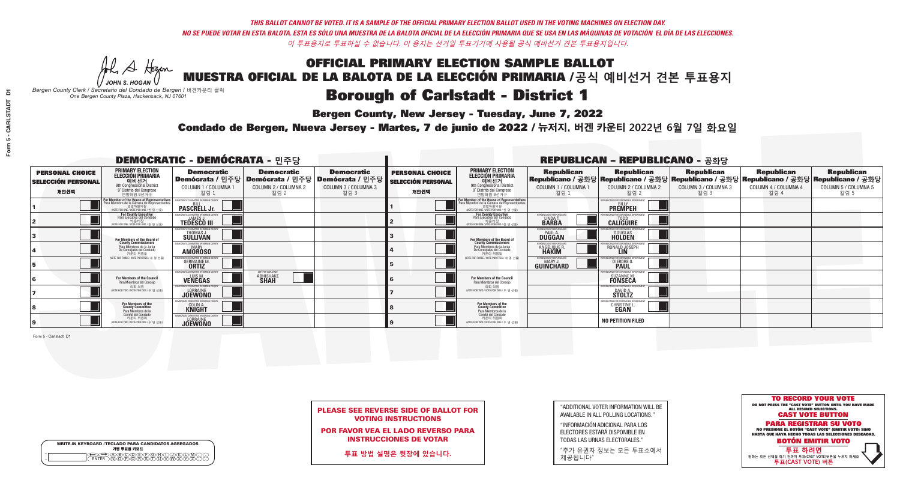**Bergen County, New Jersey - Tuesday, June 7, 2022** 

A Hogen *JOHN S. HOGAN*

|              | <b>WRITE-IN KEYBOARD /TECLADO PARA CANDIDATOS AGREGADOS</b><br>기명 투표용 키보드 |  |
|--------------|---------------------------------------------------------------------------|--|
| ο<br>$\circ$ | <b>ABODECEOHOG</b>                                                        |  |

*Bergen County Clerk / Secretario del Condado de Bergen /* 버겐카운티 클럭 *One Bergen County Plaza, Hackensack, NJ 07601*



PLEASE SEE REVERSE SIDE OF BALLOT FOR VOTING INSTRUCTIONS

POR FAVOR VEA EL LADO REVERSO PARA INSTRUCCIONES DE VOTAR

**투표 방법 설명은 뒷장에 있습니다.**

| "ADDITIONAL VOTER INFORMATION WILL BE |
|---------------------------------------|
| AVAILABLE IN ALL POLLING LOCATIONS."  |

"INFORMACIÓN ADICIONAL PARA LOS ELECTORES ESTARÁ DISPONIBLE EN TODAS LAS URNAS ELECTORALES."

"추가 유권자 정보는 모든 투표소에서 제공됩니다"

Condado de Bergen, Nueva Jersey - Martes, 7 de junio de 2022 / 뉴저지, 버겐 카운티 2022년 6월 7일 화요일 *One Bergen County Plaza, Hackensack, NJ 07601*

|                                                             |                                                                                                                                            | <b>DEMOCRATIC - DEMÓCRATA - 민주당</b>                                     |                                                   |                                                                                                        |                                                             |                                                                                                                                   |                                                            | <b>REPUBLICAN - REPUBLICANO - 공화당</b>                                                                                                          |                                                   |                                                   |                                                   |
|-------------------------------------------------------------|--------------------------------------------------------------------------------------------------------------------------------------------|-------------------------------------------------------------------------|---------------------------------------------------|--------------------------------------------------------------------------------------------------------|-------------------------------------------------------------|-----------------------------------------------------------------------------------------------------------------------------------|------------------------------------------------------------|------------------------------------------------------------------------------------------------------------------------------------------------|---------------------------------------------------|---------------------------------------------------|---------------------------------------------------|
| <b>PERSONAL CHOICE</b><br><b>SELECCIÓN PERSONAL</b><br>개인선택 | <b>PRIMARY ELECTION</b><br><b>ELECCIÓN PRIMARIA</b><br>예비선거<br>9th Congressional District<br>9° Distrito del Congreso<br>연방하원 9선거구         | <b>Democratic</b><br>COLUMN 1 / COLUMNA 1<br>칼럼 1                       | <b>Democratic</b><br>COLUMN 2 / COLUMNA 2<br>칼럼 2 | <b>Democratic</b><br>│Demócrata / 민주당│Demócrata / 민주당│Demócrata / 민주당│<br>COLUMN 3 / COLUMNA 3<br>칼럼 3 | <b>PERSONAL CHOICE</b><br><b>SELECCIÓN PERSONAL</b><br>개인선택 | <b>PRIMARY ELECTION</b><br>ELECCIÓN PRIMARIA<br>예비선거<br>9th Congressional District<br>9° Distrito del Congreso<br>연방하워 9선거구       | <b>Republican</b><br>COLUMN 1 / COLUMNA 1<br>칼럼            | <b>Republican</b><br>Republicano / 공화당 Republicano / 공화당 Republicano / 공화당 Republicano / 공화당 Republicano / 공화당<br>COLUMN 2 / COLUMNA 2<br>칼럼 2 | <b>Republican</b><br>COLUMN 3 / COLUMNA 3<br>칼럼 3 | <b>Republican</b><br>COLUMN 4 / COLUMNA 4<br>칼럼 4 | <b>Republican</b><br>COLUMN 5 / COLUMNA 5<br>칼럼 5 |
|                                                             | For Member of the House of Representatives<br>a Miembro de la Cámara de Representantes<br>연방하원의원<br>(VOTE FOR ONE / VOTE POR UNO / 한 명 선출) | EMOCRATIC COMMITTEE OF BERGEN CO<br><b>PASCRELL Jr.</b>                 |                                                   |                                                                                                        |                                                             | For Member of the House of Representatives<br>Para Miembro de la Cámara de Representantes<br>WOTE FOR ONE / VOTE POR UNO / 한 명 선출 |                                                            | PUBLICANS FOR RESPONSIBLE GOVERN<br><b>PREMPEH</b>                                                                                             |                                                   |                                                   |                                                   |
|                                                             | <b>For County Executive</b><br>Para Ejecutivo del Condado<br>(VOTE FOR ONE / VOTE POR UNO / 한 명 선출)                                        | <b>FMOCRATIC COMMITTEE OF BERGEN COUNTY</b><br><b>TEDESCO III</b>       |                                                   |                                                                                                        |                                                             | <b>For County Executive</b><br>Para Ejecutivo del Condado<br>가운티장<br>(VOTE FOR ONE / VOTE POR UNO / 한 명 선출)                       | BERGEN COUNTY REPUBLICAN<br>LINDA T.                       | <b>CALIGUIRE</b>                                                                                                                               |                                                   |                                                   |                                                   |
|                                                             | For Members of the Board of<br>County Commissioners                                                                                        | MOCRATIC COMMITTEE OF BERGEN COUNTY<br>THOMAS J.                        |                                                   |                                                                                                        |                                                             | For Members of the Board of<br>County Commissioners                                                                               | ERGEN COUNTY REPUBLICAN<br><b>PAUL A.</b><br><b>DUGGAN</b> | <b>DOUGLAS</b>                                                                                                                                 |                                                   |                                                   |                                                   |
|                                                             | Para Miembros de la Junta<br>De Concejales del Condado<br>카운티 위원들                                                                          | MOCRATIC COMMITTEE OF BERGEN COUNTY<br><b>MARY</b><br><b>AMOROSO</b>    |                                                   |                                                                                                        |                                                             | Para Miembros de la Junta<br>De Concejales del Condado<br>카우티 위원들                                                                 | ERGEN COUNTY REPUBLICAN<br>ANGELIQUE R                     | RONALD JOSEPH                                                                                                                                  |                                                   |                                                   |                                                   |
|                                                             | NOTE FOR THREE / VOTE POR TRES / 세 명 선출                                                                                                    | CRATIC COMMITTEE OF BERGEN COUNTY<br><b>GERMAINE M.</b><br><b>ORTIZ</b> |                                                   |                                                                                                        |                                                             | NOTE FOR THREE / VOTE POR TRES / 세 명 선출)                                                                                          | ERGEN COUNTY REPUBLICANS<br>MARY J.<br>GUINCHARD           | <b>DIERDRE</b>                                                                                                                                 |                                                   |                                                   |                                                   |
|                                                             | <b>For Members of the Council</b><br>Para Miembros del Conceio                                                                             | EMOCRATIC COMMITTEE OF BERGEN CO<br>LUIS M.<br><b>VENEGAS</b>           | ABHI FOR CARLSTAD<br><b>ABHISHAKE</b>             |                                                                                                        |                                                             | <b>For Members of the Council</b><br>Para Miembros del Conceio                                                                    |                                                            | S FOR RESPONSIBI E (<br>SUZANNE M.<br><b>FONSECA</b>                                                                                           |                                                   |                                                   |                                                   |
|                                                             | 의회 의원<br>(VOTE FOR TWO / VOTE POR DOS / 두 명 선출)                                                                                            | EMOCRATIC COMMITTEE OF BERGEN COUNT<br><b>JOEWONO</b>                   |                                                   |                                                                                                        |                                                             | 의회 의원<br>(VOTE FOR TWO / VOTE POR DOS / 두 명 선출)                                                                                   |                                                            | PUBLICANS FOR RESPONSIBLE GOVERNME!<br><b>STOLTZ</b>                                                                                           |                                                   |                                                   |                                                   |
|                                                             | For Members of the<br>County Committee<br>Para Miembros de la                                                                              | MOCRATIC COMMITTEE OF BERGEN<br><b>COLINAT</b>                          |                                                   |                                                                                                        |                                                             | For Members of the<br>County Committee<br>Para Miembros de la<br>Comité del Condado                                               |                                                            | CHRISTINE                                                                                                                                      |                                                   |                                                   |                                                   |
|                                                             | Comité del Condado<br>카운티 위원회<br>(VOTE FOR TWO / VOTE POR DOS / 두 명 선출)                                                                    | <b>EMOCRATIC COMMITTEE OF BEBGEN CO</b><br><b>LORRAINE</b>              |                                                   |                                                                                                        |                                                             | 카운티 위원회<br>NOTE FOR TWO / VOTE POR DOS / 두 명 선출)                                                                                  |                                                            | <b>NO PETITION FILED</b>                                                                                                                       |                                                   |                                                   |                                                   |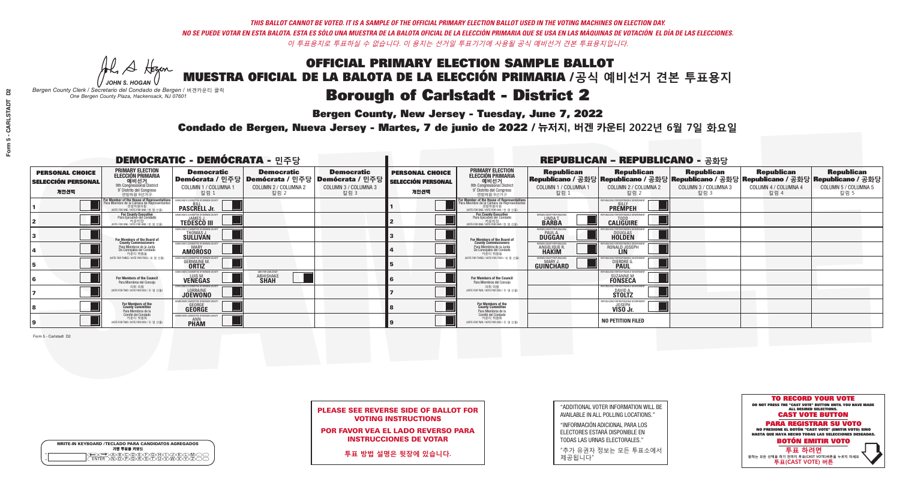**Bergen County, New Jersey - Tuesday, June 7, 2022** 

A Hogen *JOHN S. HOGAN*

|         | <b>WRITE-IN KEYBOARD /TECLADO PARA CANDIDATOS AGREGADOS</b><br>기명 투표용 키보드 |
|---------|---------------------------------------------------------------------------|
| o       | )B)C)D)E)(F)(G)(A)(                                                       |
| $\circ$ | <b>ፙ፝፟፝፝፝፟ፙ፝፟ዀ፝ጞጞ</b> ፝                                                   |

*Bergen County Clerk / Secretario del Condado de Bergen /* 버겐카운티 클럭 *One Bergen County Plaza, Hackensack, NJ 07601*



PLEASE SEE REVERSE SIDE OF BALLOT FOR VOTING INSTRUCTIONS

POR FAVOR VEA EL LADO REVERSO PARA INSTRUCCIONES DE VOTAR

**투표 방법 설명은 뒷장에 있습니다.**

| "ADDITIONAL VOTER INFORMATION WILL BE |
|---------------------------------------|
| AVAILABLE IN ALL POLLING LOCATIONS."  |

"INFORMACIÓN ADICIONAL PARA LOS ELECTORES ESTARÁ DISPONIBLE EN TODAS LAS URNAS ELECTORALES."

"추가 유권자 정보는 모든 투표소에서 제공됩니다"

Condado de Bergen, Nueva Jersey - Martes, 7 de junio de 2022 / 뉴저지, 버겐 카운티 2022년 6월 7일 화요일 *One Bergen County Plaza, Hackensack, NJ 07601*

|                                                             |                                                                                                                                               | <b>DEMOCRATIC - DEMÓCRATA - 민주당</b>                                                   |                                                   |                                                                             |                                                             |                                                                                                                                               |                                                            | <b>REPUBLICAN - REPUBLICANO - 공화당</b>                                                                                                          |                                                   |                                                   |                                                   |
|-------------------------------------------------------------|-----------------------------------------------------------------------------------------------------------------------------------------------|---------------------------------------------------------------------------------------|---------------------------------------------------|-----------------------------------------------------------------------------|-------------------------------------------------------------|-----------------------------------------------------------------------------------------------------------------------------------------------|------------------------------------------------------------|------------------------------------------------------------------------------------------------------------------------------------------------|---------------------------------------------------|---------------------------------------------------|---------------------------------------------------|
| <b>PERSONAL CHOICE</b><br><b>SELECCIÓN PERSONAL</b><br>개인선택 | <b>PRIMARY ELECTION</b><br><b>ELECCIÓN PRIMARIA</b><br>예비선거<br><sup>9th</sup> Congressional District<br>9° Distrito del Congreso<br>연방하원 9선거구 | <b>Democratic</b><br>│Demócrata / 민주당│Demócrata / 민주당<br>COLUMN 1 / COLUMNA 1<br>칼럼 1 | <b>Democratic</b><br>COLUMN 2 / COLUMNA 2<br>칼럼 2 | <b>Democratic</b><br><b>Demócrata / 민주당</b><br>COLUMN 3 / COLUMNA 3<br>칼럼 3 | <b>PERSONAL CHOICE</b><br><b>SELECCIÓN PERSONAL</b><br>개인선택 | <b>PRIMARY ELECTION</b><br>ELECCIÓN PRIMARIA<br>예비선거<br>9th Congressional District<br>9° Distrito del Congreso<br>연방하원 9선거구                   | <b>Republican</b><br>COLUMN 1 / COLUMNA 1<br>칼럼 1          | <b>Republican</b><br>Republicano / 공화당 Republicano / 공화당 Republicano / 공화당 Republicano / 공화당 Republicano / 공화당<br>COLUMN 2 / COLUMNA 2<br>칼럼 2 | <b>Republican</b><br>COLUMN 3 / COLUMNA 3<br>칼럼 3 | <b>Republican</b><br>COLUMN 4 / COLUMNA 4<br>칼럼 4 | <b>Republican</b><br>COLUMN 5 / COLUMNA 5<br>칼럼 5 |
|                                                             | For Member of the House of Representatives<br>Para Miembro de la Cámara de Representantes<br>연방하원의원<br>(VOTE FOR ONE / VOTE POR UNO / 한 명 선출  | DEMOCRATIC COMMITTEE OF BERGEN COUNT<br><b>PASCRELL Jr.</b>                           |                                                   |                                                                             |                                                             | For Member of the House of Representatives<br>Para Miembro de la Cámara de Representantes<br>연방하원의원<br>(VOTE FOR ONE / VOTE POR UNO / 한 명 선출) |                                                            | PUBLICANS FOR RESPONSIBLE GOVERNMEN<br><b>PREMPEH</b>                                                                                          |                                                   |                                                   |                                                   |
|                                                             | For County Executive<br>Para Ejecutivo del Condado<br>. 카운티장<br>(VOTE FOR ONE / VOTE POR UNO / 한 명 선출)                                        | PEMOCRATIC COMMITTEE OF BERGEN COUNTY<br><b>TEDESCO III</b>                           |                                                   |                                                                             |                                                             | For County Executive<br>Para Ejecutivo del Condado<br>카운티장<br>(WOTE FOR ONE / VOTE POR UNO / 한 명 선출)                                          | BERGEN COUNTY REPUBLICAN<br>LINDA T.                       | <b>CALIGUIRE</b>                                                                                                                               |                                                   |                                                   |                                                   |
|                                                             | For Members of the Board of<br>County Commissioners                                                                                           | EMOCRATIC COMMITTEE OF BERGEN COUNTY<br>THOMAS J.                                     |                                                   |                                                                             |                                                             | For Members of the Board of<br>County Commissioners                                                                                           | ERGEN COUNTY REPUBLICAN<br><b>PAUL A.</b><br><b>DUGGAN</b> | <b>DOUGLAS</b>                                                                                                                                 |                                                   |                                                   |                                                   |
|                                                             | Para Miembros de la Junta<br>De Concejales del Condado<br>카우티 위원들                                                                             | MOCRATIC COMMITTEE OF BERGEN COUNTY<br><b>MARY</b><br><b>AMOROSO</b>                  |                                                   |                                                                             |                                                             | Para Miembros de la Junta<br>De Concejales del Condado<br>카우티 위원들                                                                             | ERGEN COUNTY REPUBLICAN<br>ANGELIQUE R                     | RONALD JOSEPH                                                                                                                                  |                                                   |                                                   |                                                   |
|                                                             | NOTE FOR THREE / VOTE POR TRES / 세 명 선출)                                                                                                      | RATIC COMMITTEE OF BERGEN COUNT<br><b>GERMAINE M.</b><br><b>ORTIZ</b>                 |                                                   |                                                                             |                                                             | NOTE FOR THREE / VOTE POR TRES / 세 명 선출                                                                                                       | <b>ERGEN COUNTY REPUBLICANS</b><br>MARY J<br>GUINCHARD     | <b>DIERDRE</b>                                                                                                                                 |                                                   |                                                   |                                                   |
|                                                             | For Members of the Council<br>Para Miembros del Conceio                                                                                       | MOCRATIC COMMITTEE OF BERGEN CO<br>LUIS M.<br><b>VENEGAS</b>                          | ABHI FOR CARLSTADT<br><b>ABHISHAKE</b>            |                                                                             |                                                             | <b>For Members of the Council</b><br>Para Miembros del Conceio                                                                                |                                                            | FOR RESPONSIBLE O<br><b>SUZANNE M.</b><br><b>FONSECA</b>                                                                                       |                                                   |                                                   |                                                   |
|                                                             | 의회 의원<br>(VOTE FOR TWO / VOTE POR DOS / 두 명 선출)                                                                                               | MOCRATIC COMMITTEE OF BERGEN COUN<br><b>JOEWONO</b>                                   |                                                   |                                                                             |                                                             | 의회 의원<br>(VOTE FOR TWO / VOTE POR DOS / 두 명 선출)                                                                                               |                                                            | PUBLICANS FOR RESPONSIBLE GOVERNMEN<br><b>STOLTZ</b>                                                                                           |                                                   |                                                   |                                                   |
|                                                             | For Members of the<br>County Committee<br>Para Miembros de la                                                                                 | <b>GEORGE</b>                                                                         |                                                   |                                                                             |                                                             | For Members of the<br>County Committee<br>Para Miembros de la<br>Comité del Condado                                                           |                                                            | IFPUBLICANS FOR RESPONSI<br><b>VISO Jr.</b>                                                                                                    |                                                   |                                                   |                                                   |
|                                                             | Comité del Condado<br>카운티 위원회<br>(VOTE FOR TWO / VOTE POR DOS / 두 명 선출)                                                                       | <b>EMOCRATIC COMMITTEE OF RERGEN C</b><br><b>PHAM</b>                                 |                                                   |                                                                             |                                                             | 카운티 위원회<br>NOTE FOR TWO / VOTE POR DOS / 두 명 선출)                                                                                              |                                                            | <b>NO PETITION FILED</b>                                                                                                                       |                                                   |                                                   |                                                   |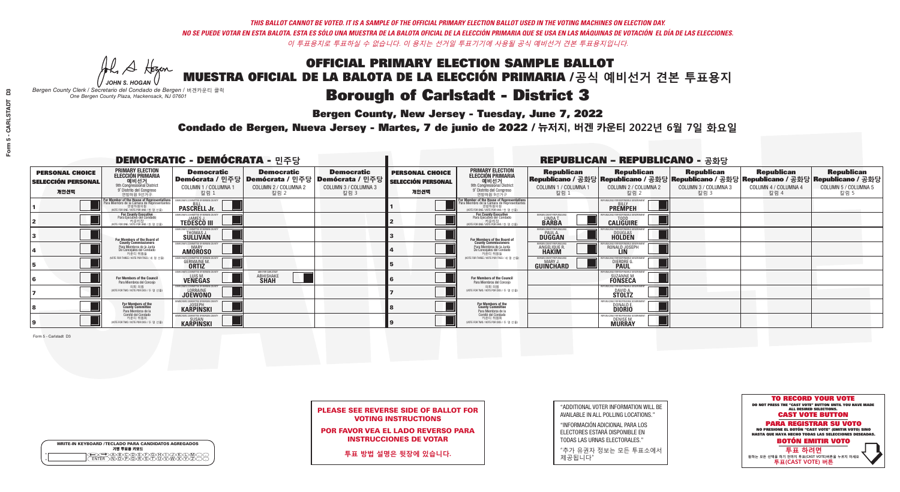**Bergen County, New Jersey - Tuesday, June 7, 2022** 

A Hogen *JOHN S. HOGAN*

|         | <b>WRITE-IN KEYBOARD /TECLADO PARA CANDIDATOS AGREGADOS</b><br>기명 투표용 키보드 |
|---------|---------------------------------------------------------------------------|
| ٥       | )(B)C)(D)(E)(F)(G)(H)(                                                    |
| $\circ$ | <u>፝ዀ፝</u> ፙዂጞቝ                                                           |

*Bergen County Clerk / Secretario del Condado de Bergen /* 버겐카운티 클럭 *One Bergen County Plaza, Hackensack, NJ 07601*



PLEASE SEE REVERSE SIDE OF BALLOT FOR VOTING INSTRUCTIONS

POR FAVOR VEA EL LADO REVERSO PARA INSTRUCCIONES DE VOTAR

**투표 방법 설명은 뒷장에 있습니다.**

"ADDITIONAL VOTER INFORMATION WILL BE AVAILABLE IN ALL POLLING LOCATIONS."

"INFORMACIÓN ADICIONAL PARA LOS ELECTORES ESTARÁ DISPONIBLE EN TODAS LAS URNAS ELECTORALES."

"추가 유권자 정보는 모든 투표소에서 제공됩니다"

Condado de Bergen, Nueva Jersey - Martes, 7 de junio de 2022 / 뉴저지, 버겐 카운티 2022년 6월 7일 화요일 *One Bergen County Plaza, Hackensack, NJ 07601*

|                                                             |                                                                                                                                               | <b>DEMOCRATIC - DEMÓCRATA - 민주당</b>                                                   |                                                   |                                                                          |                                                             |                                                                                                                                               |                                                            | <b>REPUBLICAN - REPUBLICANO - 공화당</b>                                                                                                                  |                                                   |                                                   |                                                   |
|-------------------------------------------------------------|-----------------------------------------------------------------------------------------------------------------------------------------------|---------------------------------------------------------------------------------------|---------------------------------------------------|--------------------------------------------------------------------------|-------------------------------------------------------------|-----------------------------------------------------------------------------------------------------------------------------------------------|------------------------------------------------------------|--------------------------------------------------------------------------------------------------------------------------------------------------------|---------------------------------------------------|---------------------------------------------------|---------------------------------------------------|
| <b>PERSONAL CHOICE</b><br><b>SELECCIÓN PERSONAL</b><br>개인선택 | <b>PRIMARY ELECTION</b><br><b>ELECCIÓN PRIMARIA</b><br>에비선거<br>애 Congressional District<br>I Spistrito del Congreso<br>연방하워 9선거구              | <b>Democratic</b><br>│Demócrata / 민주당│Demócrata / 민주당<br>COLUMN 1 / COLUMNA 1<br>칼럼 1 | <b>Democratic</b><br>COLUMN 2 / COLUMNA 2<br>칼럼 2 | <b>Democratic</b><br>: Demócrata / 민주당  <br>COLUMN 3 / COLUMNA 3<br>칼럼 3 | <b>PERSONAL CHOICE</b><br><b>SELECCIÓN PERSONAL</b><br>개인선택 | <b>PRIMARY ELECTION</b><br>ELECCIÓN PRIMARIA<br>9th Congressional District<br>9° Distrito del Congreso<br>연방하워 9선거구                           | <b>Republican</b><br>COLUMN 1 / COLUMNA 1<br>- 칼럼 1        | <b>Republican</b><br>Republicano / 공화당 Republicano / 공화당 Republicano / 공화당 Republicano / 공화당 Republicano / 공화당<br>COLUMN 2 / COLUMNA 2<br><u> 캄럼 2</u> | <b>Republican</b><br>COLUMN 3 / COLUMNA 3<br>칼럼 3 | <b>Republican</b><br>COLUMN 4 / COLUMNA 4<br>칼럼 4 | <b>Republican</b><br>COLUMN 5 / COLUMNA 5<br>칼럼 5 |
|                                                             | For Member of the House of Representatives<br>Para Miembro de la Cámara de Representantes<br>연방하원의원<br>(VOTE FOR ONE / VOTE POR UNO / 한 명 선출) | DEMOCRATIC COMMITTEE OF BERGEN COUNTY<br><b>PASCRELL Jr.</b>                          |                                                   |                                                                          |                                                             | For Member of the House of Representatives<br>Para Miembro de la Cámara de Representantes<br>연방하원의원<br>(VOTE FOR ONE / VOTE POR UNO / 한 명 선출) |                                                            | PUBLICANS FOR RESPONSIBLE GOVERNMEN<br><b>PREMPEH</b>                                                                                                  |                                                   |                                                   |                                                   |
|                                                             | For County Executive<br>Para Ejecutivo del Condado<br>. 카운티장<br>(VOTE FOR ONE / VOTE POR UNO / 한 명 선출)                                        | JEMOCRATIC COMMITTEE OF BERGEN COUNTY<br><b>TEDESCO III</b>                           |                                                   |                                                                          |                                                             | <b>For County Executive</b><br>Para Ejecutivo del Condado<br>7) 카운티장<br>(VOTE FOR ONE / VOTE POR UNO / 한 명 선출)                                | BERGEN COUNTY REPUBLICAN<br>LINDAT.                        | <b>CALIGUIRE</b>                                                                                                                                       |                                                   |                                                   |                                                   |
|                                                             | For Members of the Board of<br>County Commissioners                                                                                           | EMOCRATIC COMMITTEE OF BERGEN COUNT<br>THOMAS J.                                      |                                                   |                                                                          |                                                             | For Members of the Board of<br>County Commissioners                                                                                           | ERGEN COUNTY REPUBLICAN<br><b>PAUL A.</b><br><b>DUGGAN</b> | <b>DOUGLAS</b>                                                                                                                                         |                                                   |                                                   |                                                   |
|                                                             | Para Miembros de la Junta<br>De Concejales del Condado<br>카운티 위원들                                                                             | MOCRATIC COMMITTEE OF BERGEN COUNT<br><b>MARY</b><br><b>AMÖROSO</b>                   |                                                   |                                                                          |                                                             | Para Miembros de la Junta<br>De Concejales del Condado<br>카운티 위원들                                                                             | ERGEN COUNTY REPUBLICAN<br>ANGELIQUE R.                    | : ENR RESPANSIRI E GAI<br>RONALD JOSEPH                                                                                                                |                                                   |                                                   |                                                   |
|                                                             | NOTE FOR THREE / VOTE POR TRES / 세 명 선출)                                                                                                      | CRATIC COMMITTEE OF BERGEN CO<br><b>GERMAINE M.</b>                                   |                                                   |                                                                          |                                                             | NOTE FOR THREE / VOTE POR TRES / 세 명 선출)                                                                                                      | <b>ERGEN COUNTY REPUBLICANS</b><br>MARY.<br>GUINCHARD      | FOR RESPONSIBLE O<br><b>DIERDRE L</b>                                                                                                                  |                                                   |                                                   |                                                   |
|                                                             | For Members of the Council<br>Para Miembros del Concejo                                                                                       | EMOCRATIC COMMITTEE OF BERGEN COUN<br>LUIS M.<br><b>VENEGAS</b>                       | ABHI FOR CARLSTADT<br><b>ABHISHAKE</b>            |                                                                          |                                                             | For Members of the Council<br>Para Miembros del Concejo                                                                                       |                                                            | <b>SUZANNE M.</b><br><b>FONSECA</b>                                                                                                                    |                                                   |                                                   |                                                   |
|                                                             | 의회 의원<br>(VOTE FOR TWO / VOTE POR DOS / 두 명 선출)                                                                                               | <b>JOEWONO</b>                                                                        |                                                   |                                                                          |                                                             | 의회 의원<br>(VOTE FOR TWO / VOTE POR DOS / 두 명 선출)                                                                                               |                                                            | <b>STOLTZ</b>                                                                                                                                          |                                                   |                                                   |                                                   |
|                                                             | For Members of the<br>County Committee<br>Para Miembros de la<br>Comité del Condado                                                           | <b>KARPINSKI</b>                                                                      |                                                   |                                                                          |                                                             | For Members of the<br>County Committee<br>Para Miembros de la<br>Comité del Condado                                                           |                                                            | <b>DONALD E</b><br><b>DIORIO</b>                                                                                                                       |                                                   |                                                   |                                                   |
|                                                             | 카운티 위원회<br>(VOTE FOR TWO / VOTE POR DOS / 두 명 선출)                                                                                             | FMOCRATIC COMMITTEE OF RERGEN COLINT<br><b>KARPINSKI</b>                              |                                                   |                                                                          |                                                             | 카운티 위원회<br>(VOTE FOR TWO / VOTE POR DOS / 두 명 선출)                                                                                             |                                                            | PUBLICANS FOR RESPONSIBLE G<br>DENISE M.<br><b>MURRAY</b>                                                                                              |                                                   |                                                   |                                                   |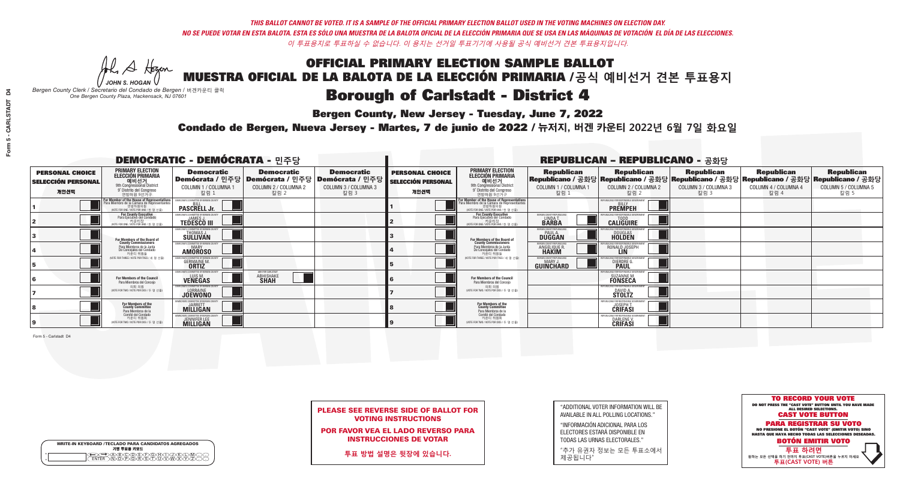**Bergen County, New Jersey - Tuesday, June 7, 2022** 

A Hogen *JOHN S. HOGAN*

|         | <b>WRITE-IN KEYBOARD /TECLADO PARA CANDIDATOS AGREGADOS</b><br>기명 투표용 키보드 |
|---------|---------------------------------------------------------------------------|
| $\circ$ | )(B)(C)(D)(E)(F)(G)(H)(                                                   |
| $\circ$ | ፞ <u>፟</u> ፟፝፟፟፟፟፞፟፟፟ፙ፝ዀ፝፟ዀ፝                                              |

*Bergen County Clerk / Secretario del Condado de Bergen /* 버겐카운티 클럭 *One Bergen County Plaza, Hackensack, NJ 07601*



PLEASE SEE REVERSE SIDE OF BALLOT FOR VOTING INSTRUCTIONS

POR FAVOR VEA EL LADO REVERSO PARA INSTRUCCIONES DE VOTAR

**투표 방법 설명은 뒷장에 있습니다.**

"ADDITIONAL VOTER INFORMATION WILL BE AVAILABLE IN ALL POLLING LOCATIONS."

"INFORMACIÓN ADICIONAL PARA LOS ELECTORES ESTARÁ DISPONIBLE EN TODAS LAS URNAS ELECTORALES."

"추가 유권자 정보는 모든 투표소에서 제공됩니다"

Condado de Bergen, Nueva Jersey - Martes, 7 de junio de 2022 / 뉴저지, 버겐 카운티 2022년 6월 7일 화요일 *One Bergen County Plaza, Hackensack, NJ 07601*

| <b>DEMOCRATIC - DEMÓCRATA - 민주당</b>                         |                                                                                                                                               |                                                                                       |                                                   |                                                                          |                                                             |                                                                                                                                               |                                                            | <b>REPUBLICAN - REPUBLICANO - 공화당</b>                                                                                                                  |                                                   |                                                   |                                                   |
|-------------------------------------------------------------|-----------------------------------------------------------------------------------------------------------------------------------------------|---------------------------------------------------------------------------------------|---------------------------------------------------|--------------------------------------------------------------------------|-------------------------------------------------------------|-----------------------------------------------------------------------------------------------------------------------------------------------|------------------------------------------------------------|--------------------------------------------------------------------------------------------------------------------------------------------------------|---------------------------------------------------|---------------------------------------------------|---------------------------------------------------|
| <b>PERSONAL CHOICE</b><br><b>SELECCIÓN PERSONAL</b><br>개인선택 | <b>PRIMARY ELECTION</b><br><b>ELECCIÓN PRIMARIA</b><br>에비선거<br>애 Congressional District<br>I Spistrito del Congreso<br>연방하워 9선거구              | <b>Democratic</b><br>│Demócrata / 민주당│Demócrata / 민주당<br>COLUMN 1 / COLUMNA 1<br>칼럼 1 | <b>Democratic</b><br>COLUMN 2 / COLUMNA 2<br>칼럼 2 | <b>Democratic</b><br>: Demócrata / 민주당  <br>COLUMN 3 / COLUMNA 3<br>칼럼 3 | <b>PERSONAL CHOICE</b><br><b>SELECCIÓN PERSONAL</b><br>개인선택 | <b>PRIMARY ELECTION</b><br>ELECCIÓN PRIMARIA<br>9th Congressional District<br>9° Distrito del Congreso<br>연방하워 9선거구                           | <b>Republican</b><br>COLUMN 1 / COLUMNA 1<br>- 칼럼 1        | <b>Republican</b><br>Republicano / 공화당 Republicano / 공화당 Republicano / 공화당 Republicano / 공화당 Republicano / 공화당<br>COLUMN 2 / COLUMNA 2<br><u> 캄럼 2</u> | <b>Republican</b><br>COLUMN 3 / COLUMNA 3<br>칼럼 3 | <b>Republican</b><br>COLUMN 4 / COLUMNA 4<br>칼럼 4 | <b>Republican</b><br>COLUMN 5 / COLUMNA 5<br>칼럼 5 |
|                                                             | For Member of the House of Representatives<br>Para Miembro de la Cámara de Representantes<br>연방하원의원<br>(VOTE FOR ONE / VOTE POR UNO / 한 명 선출) | DEMOCRATIC COMMITTEE OF BERGEN COUNTY<br><b>PASCRELL Jr.</b>                          |                                                   |                                                                          |                                                             | For Member of the House of Representatives<br>Para Miembro de la Cámara de Representantes<br>연방하원의원<br>(VOTE FOR ONE / VOTE POR UNO / 한 명 선출) |                                                            | PUBLICANS FOR RESPONSIBLE GOVERNMEN<br><b>PREMPEH</b>                                                                                                  |                                                   |                                                   |                                                   |
|                                                             | For County Executive<br>Para Ejecutivo del Condado<br>. 카운티장<br>(VOTE FOR ONE / VOTE POR UNO / 한 명 선출)                                        | JEMOCRATIC COMMITTEE OF BERGEN COUNTY<br><b>TEDESCO III</b>                           |                                                   |                                                                          |                                                             | <b>For County Executive</b><br>Para Ejecutivo del Condado<br>7) 카운티장<br>(VOTE FOR ONE / VOTE POR UNO / 한 명 선출)                                | BERGEN COUNTY REPUBLICAN<br>LINDAT.                        | <b>CALIGUIRE</b>                                                                                                                                       |                                                   |                                                   |                                                   |
|                                                             | For Members of the Board of<br>County Commissioners                                                                                           | EMOCRATIC COMMITTEE OF BERGEN COUNT<br>THOMAS J.                                      |                                                   |                                                                          |                                                             | For Members of the Board of<br>County Commissioners                                                                                           | ERGEN COUNTY REPUBLICAN<br><b>PAUL A.</b><br><b>DUGGAN</b> | <b>DOUGLAS</b>                                                                                                                                         |                                                   |                                                   |                                                   |
|                                                             | Para Miembros de la Junta<br>De Concejales del Condado<br>카운티 위원들                                                                             | MOCRATIC COMMITTEE OF BERGEN COUNT<br><b>MARY</b><br><b>AMÖROSO</b>                   |                                                   |                                                                          |                                                             | Para Miembros de la Junta<br>De Concejales del Condado<br>카운티 위원들                                                                             | ERGEN COUNTY REPUBLICAN<br>ANGELIQUE R.                    | : ENR RESPANSIRI E GAI<br>RONALD JOSEPH                                                                                                                |                                                   |                                                   |                                                   |
|                                                             | NOTE FOR THREE / VOTE POR TRES / 세 명 선출)                                                                                                      | CRATIC COMMITTEE OF BERGEN CO<br><b>GERMAINE M.</b>                                   |                                                   |                                                                          |                                                             | NOTE FOR THREE / VOTE POR TRES / 세 명 선출)                                                                                                      | <b>ERGEN COUNTY REPUBLICANS</b><br>MARY.<br>GUINCHARD      | FOR RESPONSIBLE O<br><b>DIERDRE L</b>                                                                                                                  |                                                   |                                                   |                                                   |
|                                                             | For Members of the Council<br>Para Miembros del Concejo                                                                                       | EMOCRATIC COMMITTEE OF BERGEN COUN<br>LUIS M.<br><b>VENEGAS</b>                       | ABHI FOR CARLSTADT<br><b>ABHISHAKE</b>            |                                                                          |                                                             | For Members of the Council<br>Para Miembros del Concejo                                                                                       |                                                            | <b>SUZANNE M.</b><br><b>FONSECA</b>                                                                                                                    |                                                   |                                                   |                                                   |
|                                                             | 의회 의원<br>(VOTE FOR TWO / VOTE POR DOS / 두 명 선출)                                                                                               | <b>JOEWONO</b>                                                                        |                                                   |                                                                          |                                                             | 의회 의원<br>(VOTE FOR TWO / VOTE POR DOS / 두 명 선출)                                                                                               |                                                            | <b>STOLTZ</b>                                                                                                                                          |                                                   |                                                   |                                                   |
|                                                             | For Members of the<br>County Committee<br>Para Miembros de la<br>Comité del Condado                                                           | <b>MILLIGAN</b>                                                                       |                                                   |                                                                          |                                                             | For Members of the<br>County Committee<br>Para Miembros de la<br>Comité del Condado                                                           |                                                            | <b>JOSEPH T.</b><br>CRIFASI                                                                                                                            |                                                   |                                                   |                                                   |
|                                                             | 카운티 위원회<br>(VOTE FOR TWO / VOTE POR DOS / 두 명 선출)                                                                                             | <b>EMOCRATIC COMMITTEE OF BERGEN COUL</b><br>JENNIFER LEE                             |                                                   |                                                                          |                                                             | 카운티 위원회<br>(VOTE FOR TWO / VOTE POR DOS / 두 명 선출)                                                                                             |                                                            | PUBLICANS FOR RESPONSIBLE (<br>DARLENE V                                                                                                               |                                                   |                                                   |                                                   |